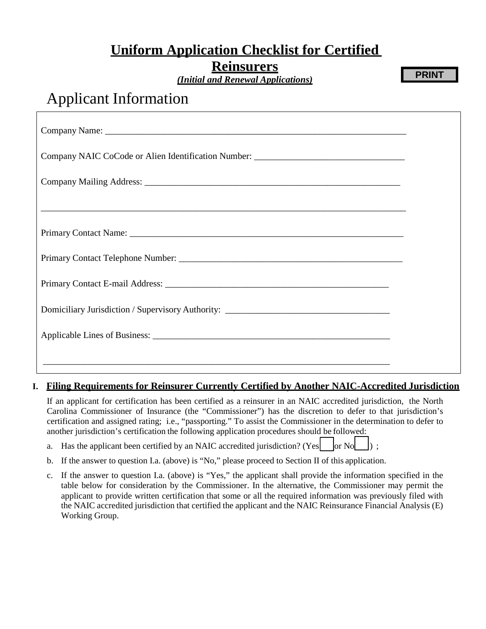**PRINT** 

 $\Box$  .  $\Box$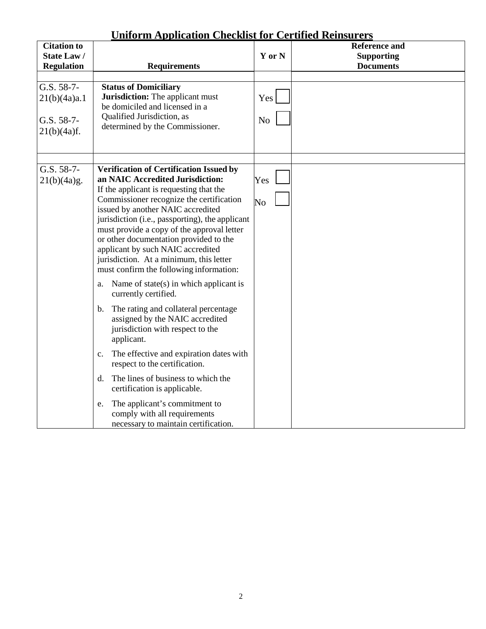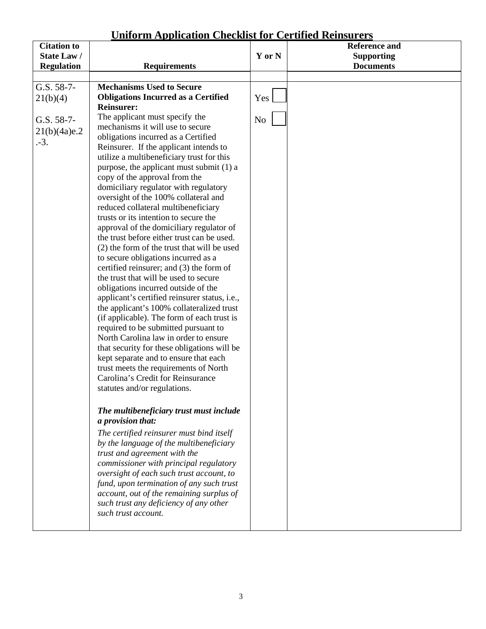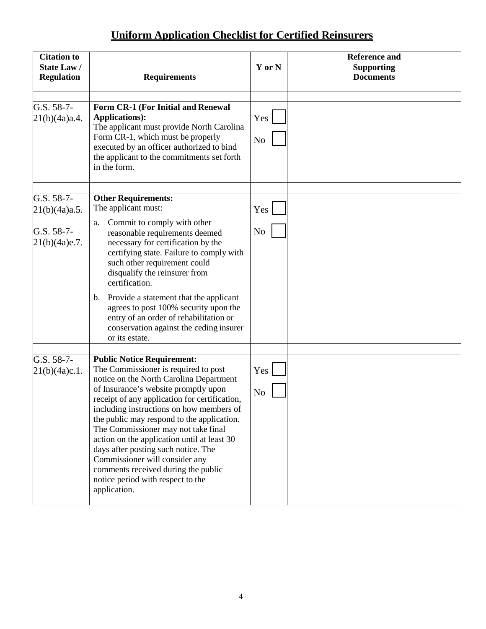

 $\begin{array}{c} \square \\ \square \end{array}$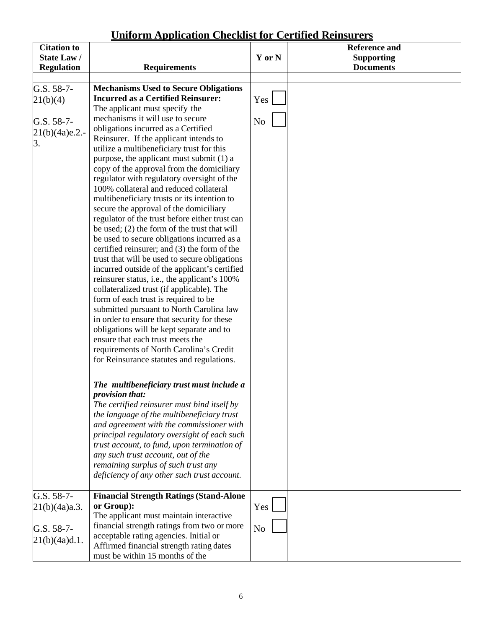| <b>Citation to</b><br>State Law/ |                                                                                        | Y or N         | <b>Reference and</b><br><b>Supporting</b> |
|----------------------------------|----------------------------------------------------------------------------------------|----------------|-------------------------------------------|
| <b>Regulation</b>                | <b>Requirements</b>                                                                    |                | <b>Documents</b>                          |
|                                  |                                                                                        |                |                                           |
| G.S. 58-7-                       | <b>Mechanisms Used to Secure Obligations</b>                                           |                |                                           |
| 21(b)(4)                         | <b>Incurred as a Certified Reinsurer:</b>                                              | Yes            |                                           |
|                                  | The applicant must specify the                                                         |                |                                           |
| G.S. 58-7-                       | mechanisms it will use to secure                                                       | N <sub>o</sub> |                                           |
| 21(b)(4a)e.2.                    | obligations incurred as a Certified                                                    |                |                                           |
| 3.                               | Reinsurer. If the applicant intends to                                                 |                |                                           |
|                                  | utilize a multibeneficiary trust for this                                              |                |                                           |
|                                  | purpose, the applicant must submit (1) a                                               |                |                                           |
|                                  | copy of the approval from the domiciliary                                              |                |                                           |
|                                  | regulator with regulatory oversight of the<br>100% collateral and reduced collateral   |                |                                           |
|                                  | multibeneficiary trusts or its intention to                                            |                |                                           |
|                                  | secure the approval of the domiciliary                                                 |                |                                           |
|                                  | regulator of the trust before either trust can                                         |                |                                           |
|                                  | be used; $(2)$ the form of the trust that will                                         |                |                                           |
|                                  | be used to secure obligations incurred as a                                            |                |                                           |
|                                  | certified reinsurer; and (3) the form of the                                           |                |                                           |
|                                  | trust that will be used to secure obligations                                          |                |                                           |
|                                  | incurred outside of the applicant's certified                                          |                |                                           |
|                                  | reinsurer status, i.e., the applicant's 100%                                           |                |                                           |
|                                  | collateralized trust (if applicable). The                                              |                |                                           |
|                                  | form of each trust is required to be                                                   |                |                                           |
|                                  | submitted pursuant to South Carolina law                                               |                |                                           |
|                                  | in order to ensure that security for these<br>obligations will be kept separate and to |                |                                           |
|                                  | ensure that each trust meets the                                                       |                |                                           |
|                                  | requirements of South Carolina's Credit                                                |                |                                           |
|                                  | for Reinsurance statutes and regulations.                                              |                |                                           |
|                                  |                                                                                        |                |                                           |
|                                  | The multibeneficiary trust must include a                                              |                |                                           |
|                                  | <i>provision that:</i>                                                                 |                |                                           |
|                                  | The certified reinsurer must bind itself by                                            |                |                                           |
|                                  | the language of the multibeneficiary trust                                             |                |                                           |
|                                  | and agreement with the director with                                                   |                |                                           |
|                                  | principal regulatory oversight of each                                                 |                |                                           |
|                                  | such trust account, to fund, upon                                                      |                |                                           |
|                                  | termination of any such trust account, out                                             |                |                                           |
|                                  | of the remaining surplus of such trust any                                             |                |                                           |
|                                  | deficiency of any other such trust account.                                            |                |                                           |
| G.S. 58-7-                       | <b>Financial Strength Ratings (Stand-Alone</b>                                         |                |                                           |
| 21(b)(4a)a.3.                    | or Group):                                                                             | Yes            |                                           |
|                                  | The applicant must maintain interactive                                                |                |                                           |
| G.S. 58-7-                       | financial strength ratings from two or more                                            | N <sub>o</sub> |                                           |
| 21(b)(4a)d.1.                    | acceptable rating agencies. Initial or                                                 |                |                                           |
|                                  | Affirmed financial strength rating dates                                               |                |                                           |
|                                  | must be within 15 months of the                                                        |                |                                           |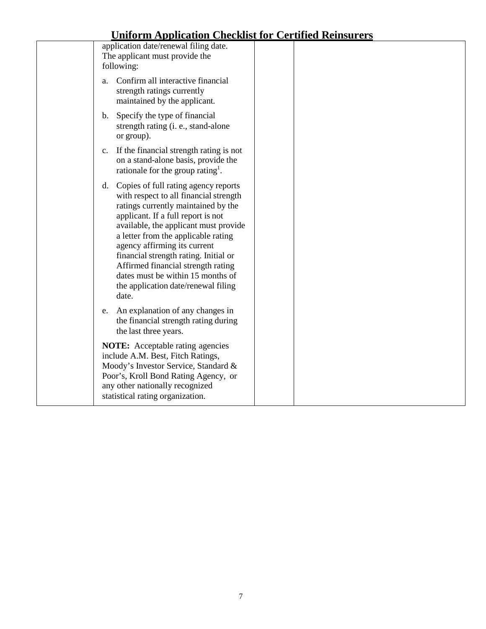| application date/renewal filing date.<br>The applicant must provide the<br>following:                                                                                                                                                                                                                                                                                                                                                              |  |
|----------------------------------------------------------------------------------------------------------------------------------------------------------------------------------------------------------------------------------------------------------------------------------------------------------------------------------------------------------------------------------------------------------------------------------------------------|--|
| Confirm all interactive financial<br>a.<br>strength ratings currently<br>maintained by the applicant.                                                                                                                                                                                                                                                                                                                                              |  |
| Specify the type of financial<br>$\mathbf{b}$ .<br>strength rating (i. e., stand-alone<br>or group).                                                                                                                                                                                                                                                                                                                                               |  |
| If the financial strength rating is not<br>$c_{\cdot}$<br>on a stand-alone basis, provide the<br>rationale for the group rating <sup>1</sup> .                                                                                                                                                                                                                                                                                                     |  |
| d. Copies of full rating agency reports<br>with respect to all financial strength<br>ratings currently maintained by the<br>applicant. If a full report is not<br>available, the applicant must provide<br>a letter from the applicable rating<br>agency affirming its current<br>financial strength rating. Initial or<br>Affirmed financial strength rating<br>dates must be within 15 months of<br>the application date/renewal filing<br>date. |  |
| An explanation of any changes in<br>e.<br>the financial strength rating during<br>the last three years.                                                                                                                                                                                                                                                                                                                                            |  |
| <b>NOTE:</b> Acceptable rating agencies<br>include A.M. Best, Fitch Ratings,<br>Moody's Investor Service, Standard &<br>Poor's, Kroll Bond Rating Agency, or<br>any other nationally recognized<br>statistical rating organization.                                                                                                                                                                                                                |  |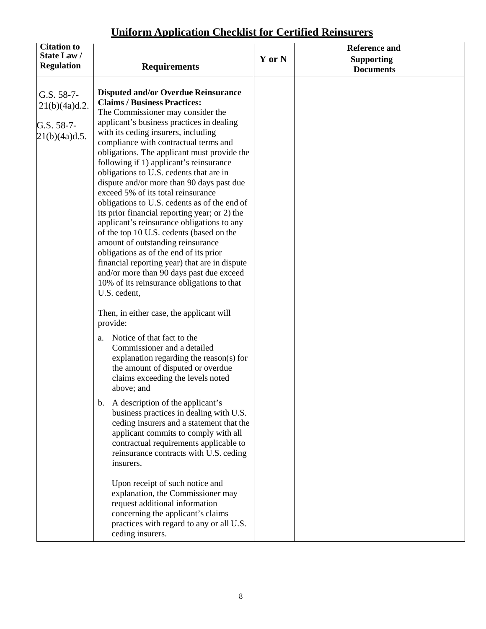| <b>Citation to</b><br><b>State Law/</b><br><b>Regulation</b> | <b>Requirements</b>                                                                                                                                                                                                                                                                                                                                                                                                                                                                                                                                                                                                                                                                                                                                                                                                                                                                                                                                                                                                                                                                                                                                                                                                                                                                                                                                                                                                                                                                                                                                                                                                                             | Y or N | <b>Reference and</b><br><b>Supporting</b><br><b>Documents</b> |
|--------------------------------------------------------------|-------------------------------------------------------------------------------------------------------------------------------------------------------------------------------------------------------------------------------------------------------------------------------------------------------------------------------------------------------------------------------------------------------------------------------------------------------------------------------------------------------------------------------------------------------------------------------------------------------------------------------------------------------------------------------------------------------------------------------------------------------------------------------------------------------------------------------------------------------------------------------------------------------------------------------------------------------------------------------------------------------------------------------------------------------------------------------------------------------------------------------------------------------------------------------------------------------------------------------------------------------------------------------------------------------------------------------------------------------------------------------------------------------------------------------------------------------------------------------------------------------------------------------------------------------------------------------------------------------------------------------------------------|--------|---------------------------------------------------------------|
| G.S. 58-7-<br>21(b)(4a)d.2.<br>G.S. 58-7-<br>21(b)(4a)d.5.   | <b>Disputed and/or Overdue Reinsurance</b><br><b>Claims / Business Practices:</b><br>The Director may consider the applicant's<br>business practices in dealing with its<br>ceding insurers, including compliance with<br>contractual terms and obligations. The<br>applicant must provide the following if 1)<br>applicant's reinsurance obligations to U.S.<br>cedents that are in dispute and/or more<br>than 90 days past due exceed 5% of its<br>total reinsurance obligations to U.S.<br>cedents as of the end of its prior financial<br>reporting year; or 2) the applicant's<br>reinsurance obligations to any of the top<br>10 U.S. cedents (based on the amount of<br>outstanding reinsurance obligations as of<br>the end of its prior financial reporting year)<br>that are in dispute and/or more than 90<br>days past due exceed 10% of its<br>reinsurance obligations to that U.S. cedent,<br>Then, in either case, the applicant will<br>provide:<br>Notice of that fact to the Director and a<br>a.<br>detailed explanation regarding the<br>reason(s) for the amount of disputed or<br>overdue claims exceeding the levels<br>noted above; and<br>b. A description of the applicant's<br>business practices in dealing with U.S.<br>ceding insurers and a statement that the<br>applicant commits to comply with all<br>contractual requirements applicable to<br>reinsurance contracts with U.S. ceding<br>insurers.<br>Upon receipt of such notice and<br>explanation, the Director may request<br>additional information concerning the<br>applicant's claims practices with regard<br>to any or all U.S. ceding insurers. |        |                                                               |
|                                                              |                                                                                                                                                                                                                                                                                                                                                                                                                                                                                                                                                                                                                                                                                                                                                                                                                                                                                                                                                                                                                                                                                                                                                                                                                                                                                                                                                                                                                                                                                                                                                                                                                                                 |        |                                                               |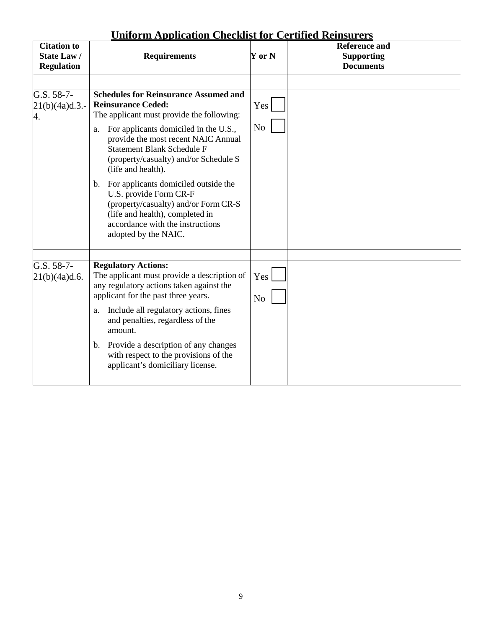| <b>Citation to</b><br><b>State Law/</b><br><b>Regulation</b> | <b>Requirements</b>                                                                                                                                                                                                                                                                                                                                                                                                                                                                                                             | Y or N                | <b>Reference and</b><br><b>Supporting</b><br><b>Documents</b> |
|--------------------------------------------------------------|---------------------------------------------------------------------------------------------------------------------------------------------------------------------------------------------------------------------------------------------------------------------------------------------------------------------------------------------------------------------------------------------------------------------------------------------------------------------------------------------------------------------------------|-----------------------|---------------------------------------------------------------|
| G.S. 58-7-<br>21(b)(4a)d.3.<br>4.                            | <b>Schedules for Reinsurance Assumed and</b><br><b>Reinsurance Ceded:</b><br>The applicant must provide the following:<br>For applicants domiciled in the U.S.,<br>a.<br>provide the most recent NAIC Annual<br><b>Statement Blank Schedule F</b><br>(property/casualty) and/or Schedule S<br>(life and health).<br>For applicants domiciled outside the<br>b.<br>U.S. provide Form CR-F<br>(property/casualty) and/or Form CR-S<br>(life and health), completed in<br>accordance with the instructions<br>adopted by the NAIC. | Yes<br>N <sub>o</sub> |                                                               |
| G.S. 58-7-<br>21(b)(4a)d.6.                                  | <b>Regulatory Actions:</b><br>The applicant must provide a description of<br>any regulatory actions taken against the<br>applicant for the past three years.<br>Include all regulatory actions, fines<br>a.<br>and penalties, regardless of the<br>amount.<br>b. Provide a description of any changes<br>with respect to the provisions of the<br>applicant's domiciliary license.                                                                                                                                              | Yes<br>N <sub>o</sub> |                                                               |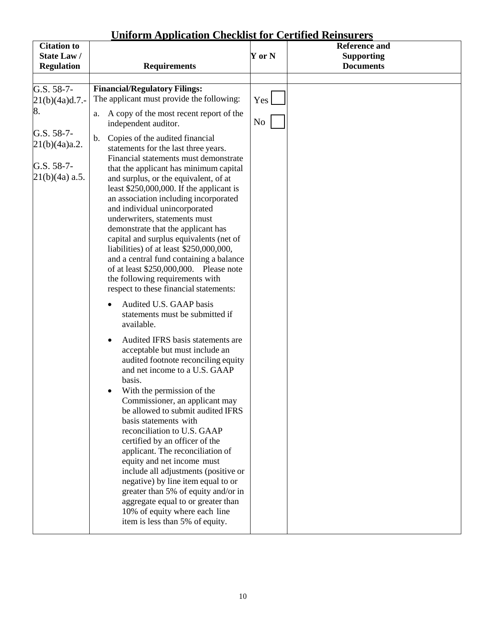| <b>Citation to</b><br>State Law/<br><b>Regulation</b>         | <u>лиотиг террисааты сиссмият от сегище теняли сгя</u><br><b>Requirements</b>                                                                                                                                                                                                                                                                                                                                                                                                                                                                                                                                                                                                                                                                                                                                                                                                                                                                                                                                                                                                                                                                                                                                                                                                                         | Y or N | <b>Reference and</b><br><b>Supporting</b><br><b>Documents</b> |
|---------------------------------------------------------------|-------------------------------------------------------------------------------------------------------------------------------------------------------------------------------------------------------------------------------------------------------------------------------------------------------------------------------------------------------------------------------------------------------------------------------------------------------------------------------------------------------------------------------------------------------------------------------------------------------------------------------------------------------------------------------------------------------------------------------------------------------------------------------------------------------------------------------------------------------------------------------------------------------------------------------------------------------------------------------------------------------------------------------------------------------------------------------------------------------------------------------------------------------------------------------------------------------------------------------------------------------------------------------------------------------|--------|---------------------------------------------------------------|
|                                                               |                                                                                                                                                                                                                                                                                                                                                                                                                                                                                                                                                                                                                                                                                                                                                                                                                                                                                                                                                                                                                                                                                                                                                                                                                                                                                                       |        |                                                               |
| G.S. 58-7-<br>21(b)(4a)d.7.<br>8.                             | <b>Financial/Regulatory Filings:</b><br>The applicant must provide the following:<br>A copy of the most recent report of the<br>a.                                                                                                                                                                                                                                                                                                                                                                                                                                                                                                                                                                                                                                                                                                                                                                                                                                                                                                                                                                                                                                                                                                                                                                    | Yes    |                                                               |
| G.S. 58-7-<br>21(b)(4a)a.2.<br>G.S. 58-7-<br>$21(b)(4a)$ a.5. | independent auditor.<br>Copies of the audited financial<br>$\mathbf{b}$ .<br>statements for the last three years.<br>Financial statements must demonstrate<br>that the applicant has minimum capital<br>and surplus, or the equivalent, of at<br>least $$250,000,000$ . If the applicant is<br>an association including incorporated<br>and individual unincorporated<br>underwriters, statements must<br>demonstrate that the applicant has<br>capital and surplus equivalents (net of<br>liabilities) of at least \$250,000,000,<br>and a central fund containing a balance<br>of at least \$250,000,000. Please note<br>the following requirements with<br>respect to these financial statements:<br>Audited U.S. GAAP basis<br>statements must be submitted if<br>available.<br>Audited IFRS basis statements are<br>$\bullet$<br>acceptable but must include an<br>audited footnote reconciling equity<br>and net income to a U.S. GAAP<br>basis.<br>With the permission of the<br>Commissioner, an applicant may<br>be allowed to submit audited IFRS<br>basis statements with<br>reconciliation to U.S. GAAP<br>certified by an officer of the<br>applicant. The reconciliation of<br>equity and net income must<br>include all adjustments (positive or<br>negative) by line item equal to or | No     |                                                               |
|                                                               | greater than 5% of equity and/or in<br>aggregate equal to or greater than<br>10% of equity where each line<br>item is less than 5% of equity.                                                                                                                                                                                                                                                                                                                                                                                                                                                                                                                                                                                                                                                                                                                                                                                                                                                                                                                                                                                                                                                                                                                                                         |        |                                                               |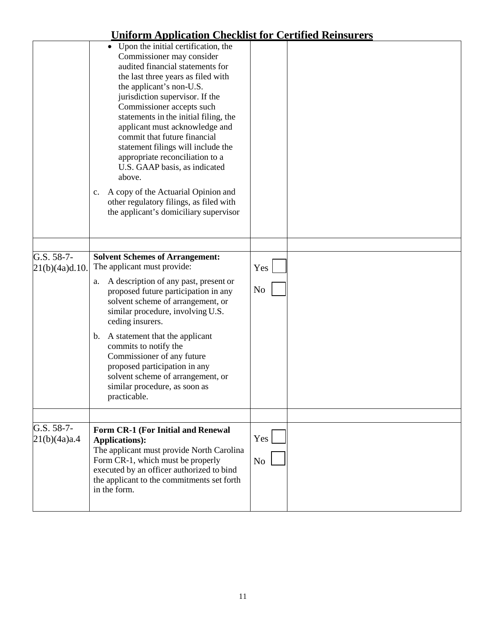|                              | онногии друшаатын сиссмиястог сегинеси                                                                                                                                                                                                                                                                                                                                                                                                                                                                                                                                                                    |                       |  |
|------------------------------|-----------------------------------------------------------------------------------------------------------------------------------------------------------------------------------------------------------------------------------------------------------------------------------------------------------------------------------------------------------------------------------------------------------------------------------------------------------------------------------------------------------------------------------------------------------------------------------------------------------|-----------------------|--|
|                              | • Upon the initial certification, the<br>Commissioner may consider<br>audited financial statements for<br>the last three years as filed with<br>the applicant's non-U.S.<br>jurisdiction supervisor. If the<br>Commissioner accepts such<br>statements in the initial filing, the<br>applicant must acknowledge and<br>commit that future financial<br>statement filings will include the<br>appropriate reconciliation to a<br>U.S. GAAP basis, as indicated<br>above.<br>A copy of the Actuarial Opinion and<br>c.<br>other regulatory filings, as filed with<br>the applicant's domiciliary supervisor |                       |  |
|                              |                                                                                                                                                                                                                                                                                                                                                                                                                                                                                                                                                                                                           |                       |  |
| G.S. 58-7-<br>21(b)(4a)d.10. | <b>Solvent Schemes of Arrangement:</b><br>The applicant must provide:<br>A description of any past, present or<br>a.<br>proposed future participation in any<br>solvent scheme of arrangement, or<br>similar procedure, involving U.S.<br>ceding insurers.<br>A statement that the applicant<br>b.<br>commits to notify the<br>Commissioner of any future<br>proposed participation in any<br>solvent scheme of arrangement, or<br>similar procedure, as soon as<br>practicable.                                                                                                                          | Yes<br>No             |  |
|                              |                                                                                                                                                                                                                                                                                                                                                                                                                                                                                                                                                                                                           |                       |  |
| G.S. 58-7-<br>21(b)(4a)a.4   | Form CR-1 (For Initial and Renewal<br><b>Applications</b> ):<br>The applicant must provide South<br>Carolina Form CR-1, which must be<br>properly executed by an officer authorized<br>to bind the applicant to the commitments<br>set forth in the form.                                                                                                                                                                                                                                                                                                                                                 | Yes<br>N <sub>o</sub> |  |